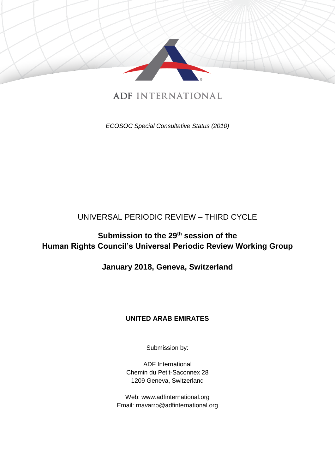

# **ADF INTERNATIONAL**

*ECOSOC Special Consultative Status (2010)*

## UNIVERSAL PERIODIC REVIEW – THIRD CYCLE

# **Submission to the 29th session of the Human Rights Council's Universal Periodic Review Working Group**

## **January 2018, Geneva, Switzerland**

## **UNITED ARAB EMIRATES**

Submission by:

ADF International Chemin du Petit-Saconnex 28 1209 Geneva, Switzerland

Web: www.adfinternational.org Email: rnavarro@adfinternational.org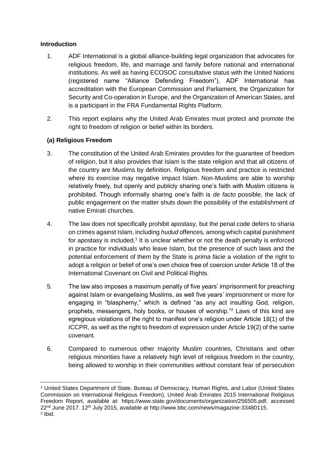### **Introduction**

- 1. ADF International is a global alliance-building legal organization that advocates for religious freedom, life, and marriage and family before national and international institutions. As well as having ECOSOC consultative status with the United Nations (registered name "Alliance Defending Freedom"), ADF International has accreditation with the European Commission and Parliament, the Organization for Security and Co-operation in Europe, and the Organization of American States, and is a participant in the FRA Fundamental Rights Platform.
- 2. This report explains why the United Arab Emirates must protect and promote the right to freedom of religion or belief within its borders.

### **(a) Religious Freedom**

- 3. The constitution of the United Arab Emirates provides for the guarantee of freedom of religion, but it also provides that Islam is the state religion and that all citizens of the country are Muslims by definition. Religious freedom and practice is restricted where its exercise may negative impact Islam. Non-Muslims are able to worship relatively freely, but openly and publicly sharing one's faith with Muslim citizens is prohibited. Though informally sharing one's faith is *de facto* possible, the lack of public engagement on the matter shuts down the possibility of the establishment of native Emirati churches.
- 4. The law does not specifically prohibit apostasy, but the penal code defers to sharia on crimes against Islam, including *hudud* offences, among which capital punishment for apostasy is included.<sup>1</sup> It is unclear whether or not the death penalty is enforced in practice for individuals who leave Islam, but the presence of such laws and the potential enforcement of them by the State is *prima facie* a violation of the right to adopt a religion or belief of one's own choice free of coercion under Article 18 of the International Covenant on Civil and Political Rights.
- 5. The law also imposes a maximum penalty of five years' imprisonment for preaching against Islam or evangelising Muslims, as well five years' imprisonment or more for engaging in "blasphemy," which is defined "as any act insulting God, religion, prophets, messengers, holy books, or houses of worship."<sup>2</sup> Laws of this kind are egregious violations of the right to manifest one's religion under Article 18(1) of the ICCPR, as well as the right to freedom of expression under Article 19(2) of the same covenant.
- 6. Compared to numerous other majority Muslim countries, Christians and other religious minorities have a relatively high level of religious freedom in the country, being allowed to worship in their communities without constant fear of persecution

<sup>-</sup><sup>1</sup> United States Department of State, Bureau of Democracy, Human Rights, and Labor (United States Commission on International Religious Freedom), United Arab Emirates 2015 International Religious Freedom Report, available at: https://www.state.gov/documents/organization/256505.pdf, accessed 22nd June 2017. 12th July 2015, available at http://www.bbc.com/news/magazine-33480115. 2 Ibid.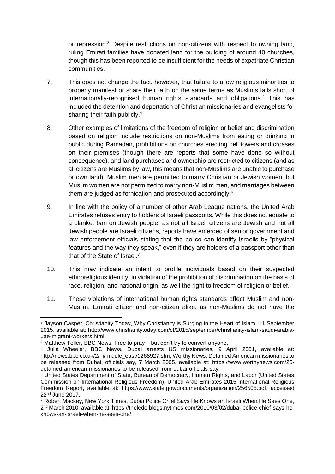or repression.<sup>3</sup> Despite restrictions on non-citizens with respect to owning land, ruling Emirati families have donated land for the building of around 40 churches, though this has been reported to be insufficient for the needs of expatriate Christian communities.

- 7. This does not change the fact, however, that failure to allow religious minorities to properly manifest or share their faith on the same terms as Muslims falls short of internationally-recognised human rights standards and obligations.<sup>4</sup> This has included the detention and deportation of Christian missionaries and evangelists for sharing their faith publicly.<sup>5</sup>
- 8. Other examples of limitations of the freedom of religion or belief and discrimination based on religion include restrictions on non-Muslims from eating or drinking in public during Ramadan, prohibitions on churches erecting bell towers and crosses on their premises (though there are reports that some have done so without consequence), and land purchases and ownership are restricted to citizens (and as all citizens are Muslims by law, this means that non-Muslims are unable to purchase or own land). Muslim men are permitted to marry Christian or Jewish women, but Muslim women are not permitted to marry non-Muslim men, and marriages between them are judged as fornication and prosecuted accordingly.<sup>6</sup>
- 9. In line with the policy of a number of other Arab League nations, the United Arab Emirates refuses entry to holders of Israeli passports. While this does not equate to a blanket ban on Jewish people, as not all Israeli citizens are Jewish and not all Jewish people are Israeli citizens, reports have emerged of senior government and law enforcement officials stating that the police can identify Israelis by "physical features and the way they speak," even if they are holders of a passport other than that of the State of Israel.<sup>7</sup>
- 10. This may indicate an intent to profile individuals based on their suspected ethnoreligious identity, in violation of the prohibition of discrimination on the basis of race, religion, and national origin, as well the right to freedom of religion or belief.
- 11. These violations of international human rights standards affect Muslim and non-Muslim, Emirati citizen and non-citizen alike, as non-Muslims do not have the

<sup>-</sup><sup>3</sup> Jayson Casper, Christianity Today, Why Christianity is Surging in the Heart of Islam, 11 September 2015, available at: http://www.christianitytoday.com/ct/2015/september/christianity-islam-saudi-arabiauae-migrant-workers.html.

<sup>4</sup> Matthew Teller, BBC News, Free to pray – but don't try to convert anyone,

<sup>5</sup> Julia Wheeler, BBC News, Dubai arrests US missionaries, 9 April 2001, available at: http://news.bbc.co.uk/2/hi/middle\_east/1268927.stm; Worthy News, Detained American missionaries to be released from Dubai, officials say, 7 March 2005, available at: https://www.worthynews.com/25 detained-american-missionaries-to-be-released-from-dubai-officials-say.

<sup>6</sup> United States Department of State, Bureau of Democracy, Human Rights, and Labor (United States Commission on International Religious Freedom), United Arab Emirates 2015 International Religious Freedom Report, available at: https://www.state.gov/documents/organization/256505.pdf, accessed 22nd June 2017.

<sup>7</sup> Robert Mackey, New York Times, Dubai Police Chief Says He Knows an Israeli When He Sees One, 2 nd March 2010, available at: https://thelede.blogs.nytimes.com/2010/03/02/dubai-police-chief-says-heknows-an-israeli-when-he-sees-one/.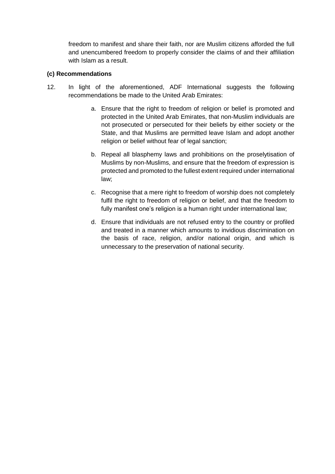freedom to manifest and share their faith, nor are Muslim citizens afforded the full and unencumbered freedom to properly consider the claims of and their affiliation with Islam as a result.

#### **(c) Recommendations**

- 12. In light of the aforementioned, ADF International suggests the following recommendations be made to the United Arab Emirates:
	- a. Ensure that the right to freedom of religion or belief is promoted and protected in the United Arab Emirates, that non-Muslim individuals are not prosecuted or persecuted for their beliefs by either society or the State, and that Muslims are permitted leave Islam and adopt another religion or belief without fear of legal sanction;
	- b. Repeal all blasphemy laws and prohibitions on the proselytisation of Muslims by non-Muslims, and ensure that the freedom of expression is protected and promoted to the fullest extent required under international law;
	- c. Recognise that a mere right to freedom of worship does not completely fulfil the right to freedom of religion or belief, and that the freedom to fully manifest one's religion is a human right under international law;
	- d. Ensure that individuals are not refused entry to the country or profiled and treated in a manner which amounts to invidious discrimination on the basis of race, religion, and/or national origin, and which is unnecessary to the preservation of national security.